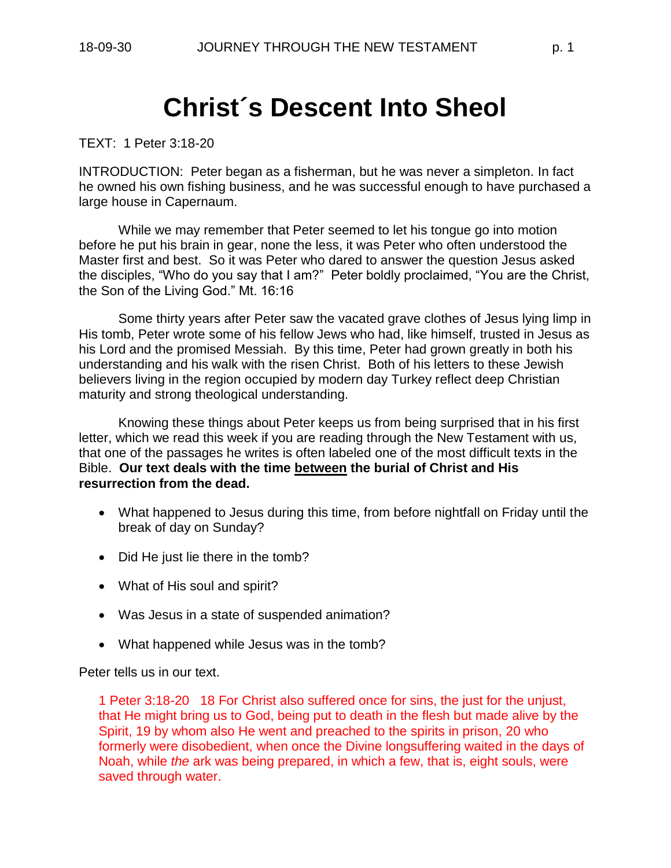# **Christ´s Descent Into Sheol**

TEXT: 1 Peter 3:18-20

INTRODUCTION: Peter began as a fisherman, but he was never a simpleton. In fact he owned his own fishing business, and he was successful enough to have purchased a large house in Capernaum.

While we may remember that Peter seemed to let his tongue go into motion before he put his brain in gear, none the less, it was Peter who often understood the Master first and best. So it was Peter who dared to answer the question Jesus asked the disciples, "Who do you say that I am?" Peter boldly proclaimed, "You are the Christ, the Son of the Living God." Mt. 16:16

Some thirty years after Peter saw the vacated grave clothes of Jesus lying limp in His tomb, Peter wrote some of his fellow Jews who had, like himself, trusted in Jesus as his Lord and the promised Messiah. By this time, Peter had grown greatly in both his understanding and his walk with the risen Christ. Both of his letters to these Jewish believers living in the region occupied by modern day Turkey reflect deep Christian maturity and strong theological understanding.

Knowing these things about Peter keeps us from being surprised that in his first letter, which we read this week if you are reading through the New Testament with us, that one of the passages he writes is often labeled one of the most difficult texts in the Bible. **Our text deals with the time between the burial of Christ and His resurrection from the dead.**

- What happened to Jesus during this time, from before nightfall on Friday until the break of day on Sunday?
- Did He just lie there in the tomb?
- What of His soul and spirit?
- Was Jesus in a state of suspended animation?
- What happened while Jesus was in the tomb?

Peter tells us in our text.

1 Peter 3:18-20 18 For Christ also suffered once for sins, the just for the unjust, that He might bring us to God, being put to death in the flesh but made alive by the Spirit, 19 by whom also He went and preached to the spirits in prison, 20 who formerly were disobedient, when once the Divine longsuffering waited in the days of Noah, while *the* ark was being prepared, in which a few, that is, eight souls, were saved through water.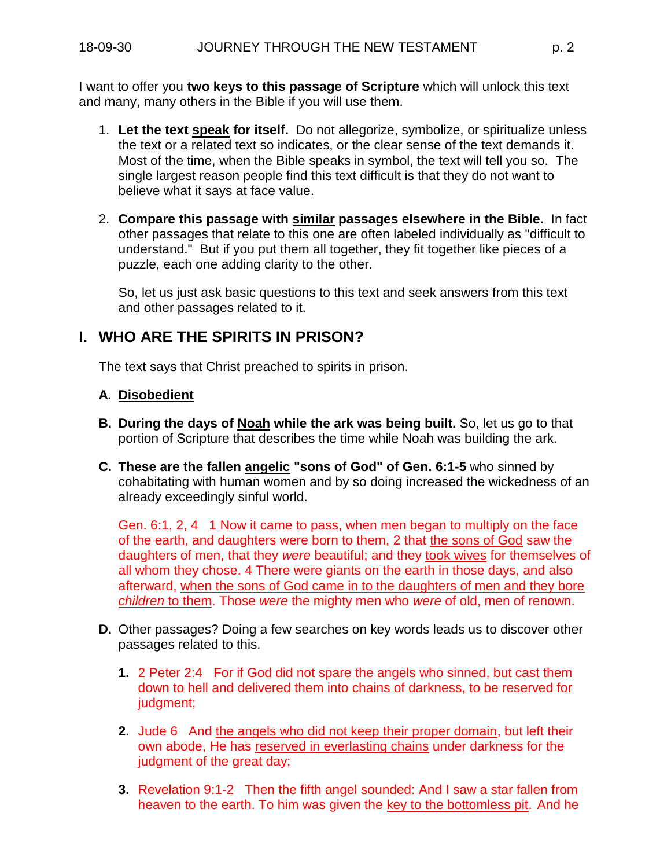I want to offer you **two keys to this passage of Scripture** which will unlock this text and many, many others in the Bible if you will use them.

- 1. **Let the text speak for itself.** Do not allegorize, symbolize, or spiritualize unless the text or a related text so indicates, or the clear sense of the text demands it. Most of the time, when the Bible speaks in symbol, the text will tell you so. The single largest reason people find this text difficult is that they do not want to believe what it says at face value.
- 2. **Compare this passage with similar passages elsewhere in the Bible.** In fact other passages that relate to this one are often labeled individually as "difficult to understand." But if you put them all together, they fit together like pieces of a puzzle, each one adding clarity to the other.

So, let us just ask basic questions to this text and seek answers from this text and other passages related to it.

### **I. WHO ARE THE SPIRITS IN PRISON?**

The text says that Christ preached to spirits in prison.

#### **A. Disobedient**

- **B. During the days of Noah while the ark was being built.** So, let us go to that portion of Scripture that describes the time while Noah was building the ark.
- **C. These are the fallen angelic "sons of God" of Gen. 6:1-5** who sinned by cohabitating with human women and by so doing increased the wickedness of an already exceedingly sinful world.

Gen. 6:1, 2, 4 1 Now it came to pass, when men began to multiply on the face of the earth, and daughters were born to them, 2 that the sons of God saw the daughters of men, that they *were* beautiful; and they took wives for themselves of all whom they chose. 4 There were giants on the earth in those days, and also afterward, when the sons of God came in to the daughters of men and they bore *children* to them. Those *were* the mighty men who *were* of old, men of renown.

- **D.** Other passages? Doing a few searches on key words leads us to discover other passages related to this.
	- **1.** 2 Peter 2:4 For if God did not spare the angels who sinned, but cast them down to hell and delivered them into chains of darkness, to be reserved for judgment;
	- **2.** Jude 6 And the angels who did not keep their proper domain, but left their own abode, He has reserved in everlasting chains under darkness for the judgment of the great day;
	- **3.** Revelation 9:1-2 Then the fifth angel sounded: And I saw a star fallen from heaven to the earth. To him was given the key to the bottomless pit. And he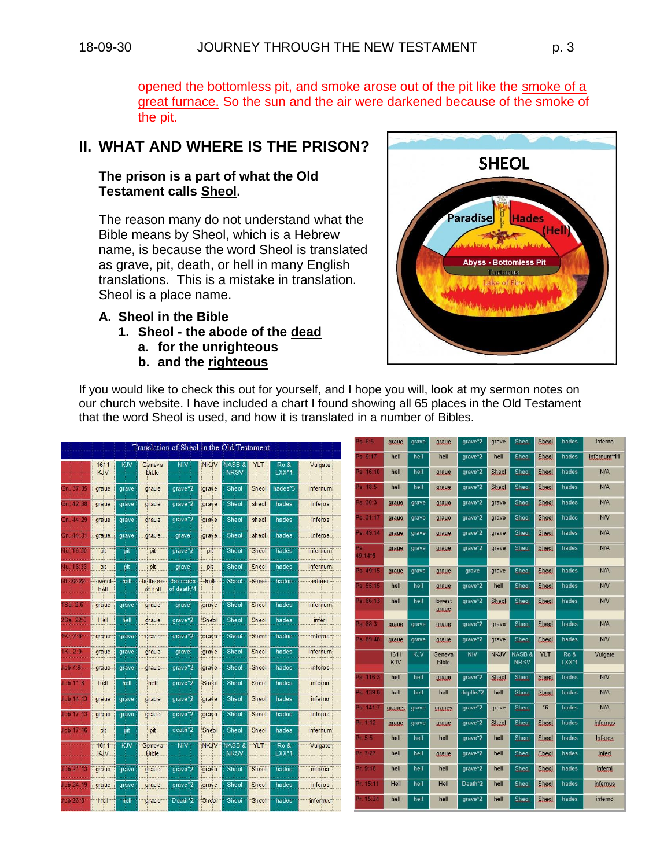opened the bottomless pit, and smoke arose out of the pit like the smoke of a great furnace. So the sun and the air were darkened because of the smoke of the pit.

## **II. WHAT AND WHERE IS THE PRISON?**

#### **The prison is a part of what the Old Testament calls Sheol.**

The reason many do not understand what the Bible means by Sheol, which is a Hebrew name, is because the word Sheol is translated as grave, pit, death, or hell in many English translations. This is a mistake in translation. Sheol is a place name.

#### **A. Sheol in the Bible**

- **1. Sheol - the abode of the dead**
	- **a. for the unrighteous**
	- **b. and the righteous**



If you would like to check this out for yourself, and I hope you will, look at my sermon notes on our church website. I have included a chart I found showing all 65 places in the Old Testament that the word Sheol is used, and how it is translated in a number of Bibles.

|                         |                    |       |                        | Translation of Sheol in the Old Testament |             |                                      |       |                  |                       | s. 6:5               | graue              | grave      | graue                  | grave*2    | grave        | <b>Sheol</b>                     | <b>Sheol</b> | hades            | inferno         |
|-------------------------|--------------------|-------|------------------------|-------------------------------------------|-------------|--------------------------------------|-------|------------------|-----------------------|----------------------|--------------------|------------|------------------------|------------|--------------|----------------------------------|--------------|------------------|-----------------|
|                         | 1611               | KJV   | Geneva                 | <b>NIV</b>                                | <b>NKJV</b> | <b>NASB &amp;</b>                    | YLT   | Ro &             | Vulgate               | 9:17                 | hell               | hell       | hell                   | arave*2    | hell         | <b>Sheol</b>                     | Sheol        | hades            | infernum*11     |
|                         | KJV                |       | <b>Bible</b>           |                                           |             | <b>NRSV</b>                          |       | LXX*1            |                       | s. 16:10             | hell               | hell       | graue                  | grave*2    | <b>Sheol</b> | <b>Sheol</b>                     | <b>Sheol</b> | hades            | <b>N/A</b>      |
| Gn: 37:35               | graue              | grave | graue                  | grave*2                                   | grave       | Sheol                                | Sheol | hades*3          | infernum              | <sup>2</sup> s. 18:5 | hell               | hell       | graue                  | grave*2    | Sheol        | <b>Sheol</b>                     | Sheol        | hades            | <b>N/A</b>      |
| Gn. 42-3                | graue              | grave | graue                  | grave*2                                   | grave       | Sheol                                | sheol | hades            | <i>inferos</i>        | s.30:3               | graue              | grave      | graue                  | arave*2    | grave        | <b>Sheol</b>                     | Sheol        | hades            | N/A             |
| Gn 44:                  | graue              | grave | graue                  | grave*2                                   | grave       | Sheol                                | sheol | hades            | inferos               | 31:17                | graue              | grave      | graue                  | grave*2    | grave        | Sheol                            | <b>Sheol</b> | hades            | N/V             |
| Gn: 44:3                | graue.             | grave | graue                  | grave                                     | grave       | Sheol                                | sheol | hades            | inferos               | 5s.49:14             | graue              | grave      | graue                  | grave*2    | grave        | <b>Sheol</b>                     | Sheol        | hades            | N/A             |
| 10, 16, 30              | pit                | pit   | pit                    | grave*2                                   | pit         | Sheol                                | Sheol | hades            | infernum              | Ъg.<br>$9:14*5$      | graue              | grave      | graue                  | grave*2    | grave        | <b>Sheol</b>                     | <b>Sheol</b> | hades            | N/A             |
| lu. 16:33               | pit                | pit   | pit                    | grave                                     | pit         | Sheol                                | Sheol | hades            | infernum              | s.49:15              | graue              | grave      | graue                  | grave      | grave        | <b>Sheol</b>                     | <b>Sheol</b> | hades            | N/A             |
| <b>District Company</b> | lowest<br>hell     | hell  | bottome<br>of hell     | the realm<br>of death*4                   | hell        | Sheol                                | Sheol | hades            | inferni               | s.55:15              | hell               | hell       | graue                  | grave*2    | hell         | <b>Sheol</b>                     | <b>Sheol</b> | hades            | <b>N/V</b>      |
| <b>Sa 26</b>            | graue              | grave | graue                  | grave                                     | grave       | Sheol                                | Sheol | hades            | infernum              | s. 86:13             | hell               | hell       | lowest<br>graue        | grave*2    | <b>Sheol</b> | <b>Sheol</b>                     | <b>Sheol</b> | hades            | N/V             |
| 'Sa 22.                 | Hell               | hell  | graue                  | grave*2                                   | Sheol       | Sheol                                | Sheol | hades            | inferi                | s 88:3               | graue              | grave      | graue                  | arave*2    | grave        | <b>Sheol</b>                     | <b>Sheol</b> | hades            | <b>N/A</b>      |
| K <sub>1</sub> 2.6      | graue              | grave | graue                  | grave*2                                   | grave       | Sheol                                | Sheol | hades            | inferos               | 5.89:48              | graue              | grave      | graue                  | grave*2    | grave        | <b>Sheol</b>                     | <b>Sheol</b> | hades            | <b>N/V</b>      |
| Ki: 2:9                 | graue              | grave | graue                  | grave                                     | grave       | Sheol                                | Sheol | hades            | infernum              |                      | 1611<br><b>KJV</b> | <b>KJV</b> | Geneva<br><b>Bible</b> | <b>NIV</b> | <b>NKJV</b>  | <b>NASB &amp;</b><br><b>NRSV</b> | <b>YLT</b>   | Ro &<br>$LXX^*1$ | Vulgate         |
| ob7.9                   | graue              | grave | graue                  | grave*2                                   | grave       | Sheol                                | Sheol | hades            | inferos               | s 116.               | hell               | hell       |                        | grave*2    | <b>Sheol</b> | <b>Sheol</b>                     | <b>Sheol</b> | hades            | N/V             |
| ob 11.8                 | hell               | hell  | hell                   | grave*2                                   | Sheol       | Sheol                                | Sheol | hades            | inferno               |                      |                    |            | graue                  |            |              |                                  |              |                  |                 |
| 00114                   | graue              | grave | graue                  | grave*2                                   | grave       | Sheol                                | Sheol | hades            | inferno.              | $9s$ 139 8           | hell               | hell       | hell                   | depths*2   | hell         | <b>Sheol</b>                     | <b>Sheol</b> | hades            | N/A             |
| ob17                    | graue              | grave | graue                  | grave*2                                   | grave       | Sheol                                | Sheol | hades            | <i><b>inferus</b></i> | 9s.141               | grayes             | grave      | graues                 | grave*2    | grave        | <b>Sheol</b>                     | $*6$         | hades            | N/A             |
| ob 17:16                | pit                | pit   | pit                    | death*2                                   | Sheol       | Sheol                                | Sheol | hades            | infernum              | Pr. 4:12             | graue              | grave      | graue                  | grave*2    | Sheol        | Sheol                            | <b>Sheol</b> | hades            | infernus        |
|                         |                    |       |                        |                                           |             |                                      |       |                  |                       | 1.5.5                | hell               | hell       | hell                   | grave*2    | hell         | <b>Sheol</b>                     | Sheol        | hades            | inferos         |
|                         | 1611<br><b>KJV</b> | KJV   | Geneva<br><b>Bible</b> | <b>NIV</b>                                | <b>NKJV</b> | NASB <sub>&amp;</sub><br><b>NRSV</b> | YLT   | Ro &<br>$LXX^*1$ | Vulgate               | h. 7:27              | hell               | hell       | graue                  | grave*2    | hell         | Sheol                            | <b>Sheol</b> | hades            | <b>inferi</b>   |
| ob 21 1.                | graue              | grave | graue                  | grave*2                                   | grave       | <b>Sheol</b>                         | Sheol | hades            | inferna               | 1.9:18               | hell               | hell       | hell                   | grave*2    | hell         | <b>Sheol</b>                     | Sheol        | hades            | inferni         |
| ob 24:19                | graue              | grave | graue                  | grave*2                                   | grave       | Sheol                                | Sheol | hades            | inferos               | Pr. 15:11            | Hell               | hell       | Hell                   | Death*2    | hell         | <b>Sheol</b>                     | <b>Sheol</b> | hades            | <i>infernus</i> |
| ob 26 8                 | Hell               | hell  | graue                  | Death*2                                   | Sheol       | Sheol                                | Sheol | hades            | infernus <sup>-</sup> | $-16:24$             | hell               | hell       | hell                   | grave*2    | hell         | <b>Sheol</b>                     | <b>Sheol</b> | hades            | inferno         |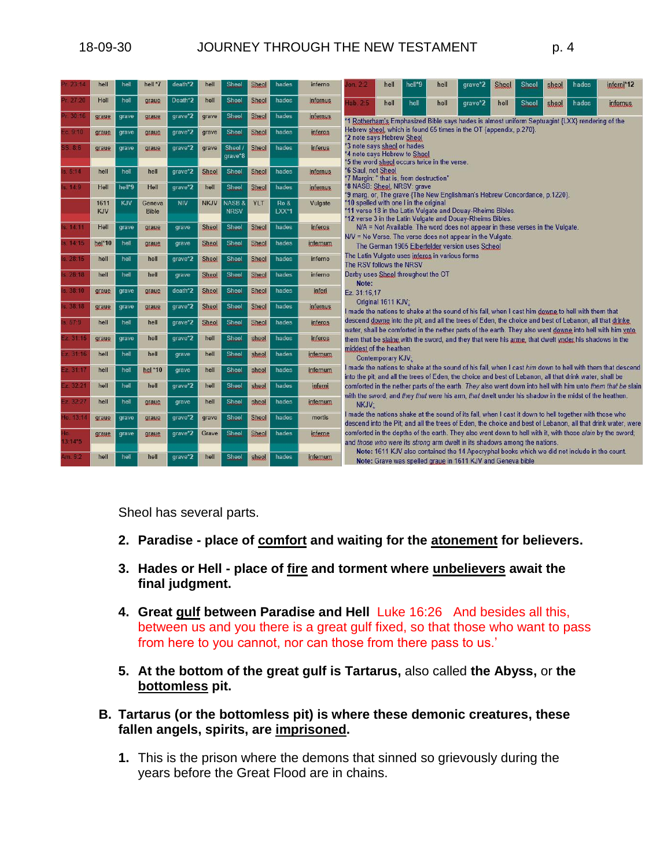| 23:14          | hell               | hell   | hell *7                | death*2    | hell         | Sheol                            | <b>Sheol</b> | hades            | inferno         | on. $2.2$                                                                                                                                                                                                                                                                                                                                                                                   | hell               | hell*9 | hell | grave*2                                                                                                                                                    | Sheol | <b>Sheol</b> | sheol | hades | inferni*12                                                                                                |  |  |  |  |
|----------------|--------------------|--------|------------------------|------------|--------------|----------------------------------|--------------|------------------|-----------------|---------------------------------------------------------------------------------------------------------------------------------------------------------------------------------------------------------------------------------------------------------------------------------------------------------------------------------------------------------------------------------------------|--------------------|--------|------|------------------------------------------------------------------------------------------------------------------------------------------------------------|-------|--------------|-------|-------|-----------------------------------------------------------------------------------------------------------|--|--|--|--|
| 27.20          | Hell               | hell   | graue                  | Death*2    | hell         | Sheol                            | <b>Sheol</b> | hades            | <b>infernus</b> | lab.2.5                                                                                                                                                                                                                                                                                                                                                                                     | hell               | hell   | hell | grave*2                                                                                                                                                    | hell  | Sheol        | sheol | hades | <i>infernus</i>                                                                                           |  |  |  |  |
| Pr. 30:16      | graue              | grave  | graue                  | grave*2    | grave        | Sheol                            | <b>Sheol</b> | hades            | infernus        |                                                                                                                                                                                                                                                                                                                                                                                             |                    |        |      | *1 Rotherham's Emphasized Bible says hades is almost uniform Septuagint {LXX} rendering of the                                                             |       |              |       |       |                                                                                                           |  |  |  |  |
| Ec. 9:10       | graue              | grave  | graue                  | grave*2    | grave        | Sheol                            | <b>Sheol</b> | hades            | inferos         | Hebrew sheol, which is found 65 times in the OT {appendix, p.270}.<br>*2 note says Hebrew Sheol<br>*3 note says sheol or hades<br>*4 note says Hebrew to Sheol<br>*5 the word sheol occurs twice in the verse.<br>*6 Saul, not Sheol<br>*7 Margin: " that is, from destruction"<br>*8 NASB: Sheol. NRSV: grave<br>*9 marg. or, The grave {The New Englishman's Hebrew Concordance, p.1220}. |                    |        |      |                                                                                                                                                            |       |              |       |       |                                                                                                           |  |  |  |  |
| SS. 8:6        | graue              | grave  | graue                  | grave*2    | grave        | Sheol<br>arave*8                 | <b>Sheol</b> | hades            | <i>inferus</i>  |                                                                                                                                                                                                                                                                                                                                                                                             |                    |        |      |                                                                                                                                                            |       |              |       |       |                                                                                                           |  |  |  |  |
| s.5:14         | hell               | hell   | hell                   | grave*2    | <b>Sheol</b> | Sheol                            | <b>Sheol</b> | hades            | <i>infernus</i> |                                                                                                                                                                                                                                                                                                                                                                                             |                    |        |      |                                                                                                                                                            |       |              |       |       |                                                                                                           |  |  |  |  |
| s. 14:9        | Hell               | hell*9 | Hell                   | qrave*2    | hell         | Sheol                            | <b>Sheol</b> | hades            | <i>infernus</i> |                                                                                                                                                                                                                                                                                                                                                                                             |                    |        |      |                                                                                                                                                            |       |              |       |       |                                                                                                           |  |  |  |  |
|                | 1611<br><b>KJV</b> | KJV    | Geneva<br><b>Bible</b> | <b>NIV</b> | <b>NKJV</b>  | <b>NASB &amp;</b><br><b>NRSV</b> | YLT          | Ro &<br>$LXX^*1$ | Vulgate         | *10 spelled with one I in the original<br>*11 verse 18 in the Latin Vulgate and Douay-Rheims Bibles.<br>*12 verse 3 in the Latin Vulgate and Douay-Rheims Bibles.                                                                                                                                                                                                                           |                    |        |      |                                                                                                                                                            |       |              |       |       |                                                                                                           |  |  |  |  |
| s. 14:11       | Hell               | qrave  | graue                  | grave      | <b>Sheol</b> | Sheol                            | <b>Sheol</b> | hades            | inferos         | N/A = Not Available. The word does not appear in these verses in the Vulgate.<br>N/V = No Verse. The verse does not appear in the Vulgate.<br>The German 1905 Elberfelder version uses Scheol<br>The Latin Vulgate uses inferos in various forms<br>The RSV follows the NRSV<br>Darby uses Sheol throughout the OT<br>Note:<br>Ez. 31:16.17                                                 |                    |        |      |                                                                                                                                                            |       |              |       |       |                                                                                                           |  |  |  |  |
| s. 14:15       | hel*10             | hell   | graue                  | grave      | <b>Sheol</b> | Sheol                            | <b>Sheol</b> | hades            | infernum        |                                                                                                                                                                                                                                                                                                                                                                                             |                    |        |      |                                                                                                                                                            |       |              |       |       |                                                                                                           |  |  |  |  |
| s. 28:15       | hell               | hell   | hell                   | grave*2    | <b>Sheol</b> | Sheol                            | <b>Sheol</b> | hades            | <i>inferno</i>  |                                                                                                                                                                                                                                                                                                                                                                                             |                    |        |      |                                                                                                                                                            |       |              |       |       |                                                                                                           |  |  |  |  |
| s. 28:18       | hell               | hell   | hell                   | qrave      | <b>Sheol</b> | Sheol                            | <b>Sheol</b> | hades            | inferno         |                                                                                                                                                                                                                                                                                                                                                                                             |                    |        |      |                                                                                                                                                            |       |              |       |       |                                                                                                           |  |  |  |  |
| s. 38:10       | graue              | grave  | graue                  | death*2    | <b>Sheol</b> | Sheol                            | Sheol        | hades            | inferi          |                                                                                                                                                                                                                                                                                                                                                                                             |                    |        |      |                                                                                                                                                            |       |              |       |       |                                                                                                           |  |  |  |  |
| s. 38:18       | graue              | grave  | graue                  | qrave*2    | <b>Sheol</b> | Sheol                            | <b>Sheol</b> | hades            | <i>infernus</i> |                                                                                                                                                                                                                                                                                                                                                                                             | Original 1611 KJV: |        |      | I made the nations to shake at the sound of his fall, when I cast him downe to hell with them that                                                         |       |              |       |       |                                                                                                           |  |  |  |  |
| s.579          | hell               | hell   | hell                   | grave*2    | <b>Sheol</b> | Sheol                            | <b>Sheol</b> | hades            | inferos         |                                                                                                                                                                                                                                                                                                                                                                                             |                    |        |      | descend downe into the pit; and all the trees of Eden, the choice and best of Lebanon, all that drinke                                                     |       |              |       |       |                                                                                                           |  |  |  |  |
| Ez. 31:1!      | graue              | grave  | hell                   | grave*2    | hell         | Sheol                            | sheol        | hades            | <i>inferos</i>  |                                                                                                                                                                                                                                                                                                                                                                                             |                    |        |      | them that be slaine with the sword, and they that were his arme, that dwelt ynder his shadows in the                                                       |       |              |       |       | water, shall be comforted in the nether parts of the earth. They also went downe into hell with him ynto  |  |  |  |  |
| Ez. 31:16      | hell               | hell   | hell                   | grave      | hell         | <b>Sheol</b>                     | sheol        | hades            | <i>infernum</i> | middest of the heathen.                                                                                                                                                                                                                                                                                                                                                                     | Contemporary KJV:  |        |      |                                                                                                                                                            |       |              |       |       |                                                                                                           |  |  |  |  |
| Ez 31:17       | hell               | hell   | hel *10                | grave      | hell         | Sheol                            | sheol        | hades            | infernum        | I made the nations to shake at the sound of his fall, when I cast him down to hell with them that descend                                                                                                                                                                                                                                                                                   |                    |        |      |                                                                                                                                                            |       |              |       |       |                                                                                                           |  |  |  |  |
| Ez. 32:21      | hell               | hell   | hell                   | grave*2    | hell         | Sheol                            | sheol        | hades            | inferni         | into the pit; and all the trees of Eden, the choice and best of Lebanon, all that drink water, shall be<br>comforted in the nether parts of the earth. They also went down into hell with him unto them that be slair                                                                                                                                                                       |                    |        |      |                                                                                                                                                            |       |              |       |       |                                                                                                           |  |  |  |  |
| Ez 32:27       | hell               | hell   | graue                  | grave      | hell         | Sheol                            | sheol        | hades            | <i>infernum</i> | with the sword; and they that were his arm, that dwelt under his shadow in the midst of the heathen.<br>NKJV:<br>I made the nations shake at the sound of its fall, when I cast it down to hell together with those who<br>descend into the Pit; and all the trees of Eden, the choice and best of Lebanon, all that drink water, were                                                      |                    |        |      |                                                                                                                                                            |       |              |       |       |                                                                                                           |  |  |  |  |
| Ho. 13:1       | graue              | grave  | graue                  | grave*2    | grave        | <b>Sheol</b>                     | <b>Sheol</b> | hades            | mortis          |                                                                                                                                                                                                                                                                                                                                                                                             |                    |        |      |                                                                                                                                                            |       |              |       |       |                                                                                                           |  |  |  |  |
| Ho.<br>13:14*5 | graue              | grave  | graue                  | grave*2    | Grave        | Sheol                            | <b>Sheol</b> | hades            | <i>inferne</i>  |                                                                                                                                                                                                                                                                                                                                                                                             |                    |        |      | and those who were its strong arm dwelt in its shadows among the nations.                                                                                  |       |              |       |       | comforted in the depths of the earth. They also went down to hell with it, with those slain by the sword; |  |  |  |  |
| Am. 9:2        | hell               | hell   | hell                   | grave*2    | hell         | Sheol                            | sheol        | hades            | infernum        |                                                                                                                                                                                                                                                                                                                                                                                             |                    |        |      | Note: 1611 KJV also contained the 14 Apocryphal books which we did not include in the count.<br>Note: Grave was spelled graue in 1611 KJV and Geneva bible |       |              |       |       |                                                                                                           |  |  |  |  |

Sheol has several parts.

- **2. Paradise - place of comfort and waiting for the atonement for believers.**
- **3. Hades or Hell - place of fire and torment where unbelievers await the final judgment.**
- **4. Great gulf between Paradise and Hell** Luke 16:26 And besides all this, between us and you there is a great gulf fixed, so that those who want to pass from here to you cannot, nor can those from there pass to us.'
- **5. At the bottom of the great gulf is Tartarus,** also called **the Abyss,** or **the bottomless pit.**
- **B. Tartarus (or the bottomless pit) is where these demonic creatures, these fallen angels, spirits, are imprisoned.** 
	- **1.** This is the prison where the demons that sinned so grievously during the years before the Great Flood are in chains.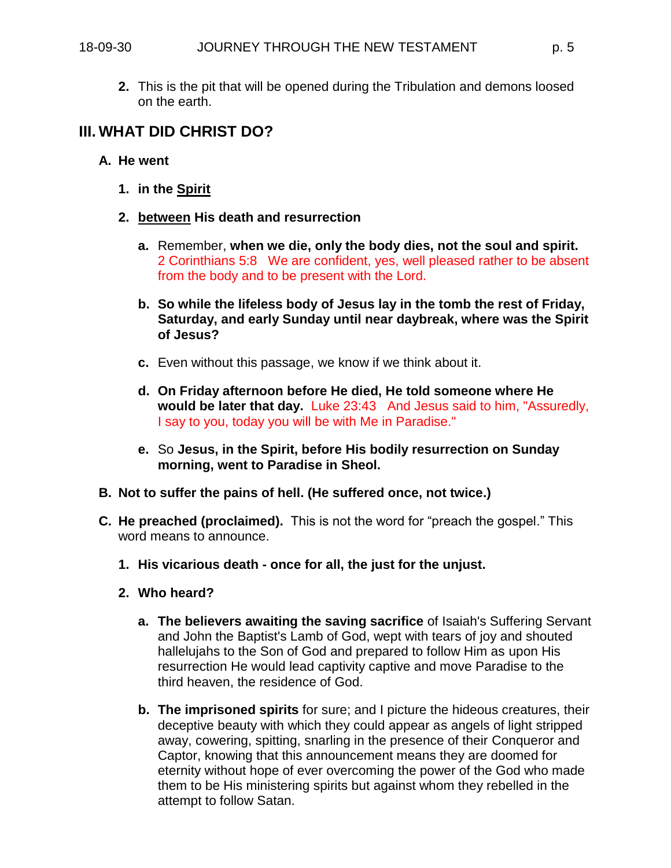**2.** This is the pit that will be opened during the Tribulation and demons loosed on the earth.

## **III. WHAT DID CHRIST DO?**

- **A. He went** 
	- **1. in the Spirit**
	- **2. between His death and resurrection**
		- **a.** Remember, **when we die, only the body dies, not the soul and spirit.**  2 Corinthians 5:8 We are confident, yes, well pleased rather to be absent from the body and to be present with the Lord.
		- **b. So while the lifeless body of Jesus lay in the tomb the rest of Friday, Saturday, and early Sunday until near daybreak, where was the Spirit of Jesus?**
		- **c.** Even without this passage, we know if we think about it.
		- **d. On Friday afternoon before He died, He told someone where He would be later that day.** Luke 23:43 And Jesus said to him, "Assuredly, I say to you, today you will be with Me in Paradise."
		- **e.** So **Jesus, in the Spirit, before His bodily resurrection on Sunday morning, went to Paradise in Sheol.**
- **B. Not to suffer the pains of hell. (He suffered once, not twice.)**
- **C. He preached (proclaimed).** This is not the word for "preach the gospel." This word means to announce.
	- **1. His vicarious death - once for all, the just for the unjust.**
	- **2. Who heard?**
		- **a. The believers awaiting the saving sacrifice** of Isaiah's Suffering Servant and John the Baptist's Lamb of God, wept with tears of joy and shouted hallelujahs to the Son of God and prepared to follow Him as upon His resurrection He would lead captivity captive and move Paradise to the third heaven, the residence of God.
		- **b. The imprisoned spirits** for sure; and I picture the hideous creatures, their deceptive beauty with which they could appear as angels of light stripped away, cowering, spitting, snarling in the presence of their Conqueror and Captor, knowing that this announcement means they are doomed for eternity without hope of ever overcoming the power of the God who made them to be His ministering spirits but against whom they rebelled in the attempt to follow Satan.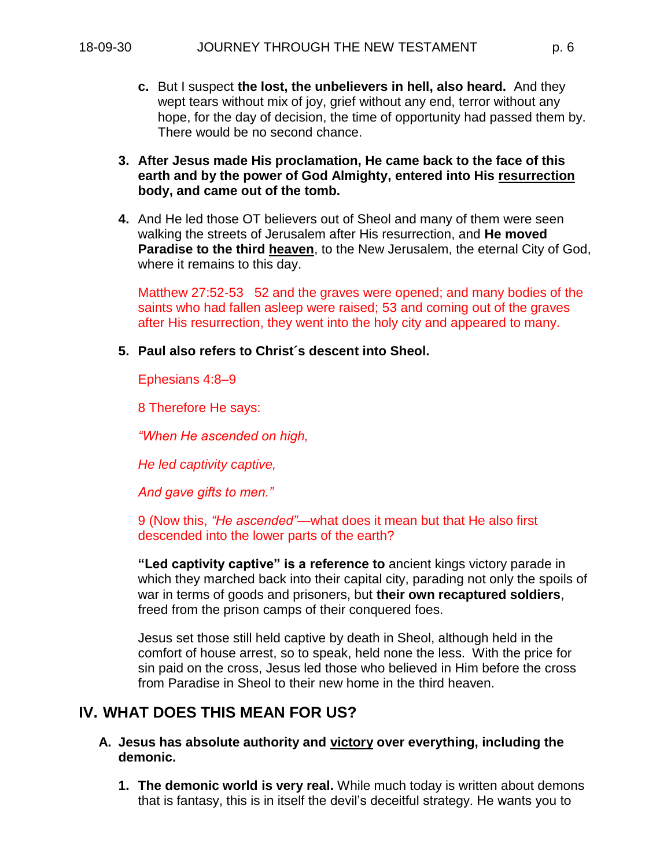- **c.** But I suspect **the lost, the unbelievers in hell, also heard.** And they wept tears without mix of joy, grief without any end, terror without any hope, for the day of decision, the time of opportunity had passed them by. There would be no second chance.
- **3. After Jesus made His proclamation, He came back to the face of this earth and by the power of God Almighty, entered into His resurrection body, and came out of the tomb.**
- **4.** And He led those OT believers out of Sheol and many of them were seen walking the streets of Jerusalem after His resurrection, and **He moved Paradise to the third heaven**, to the New Jerusalem, the eternal City of God, where it remains to this day.

Matthew 27:52-53 52 and the graves were opened; and many bodies of the saints who had fallen asleep were raised; 53 and coming out of the graves after His resurrection, they went into the holy city and appeared to many.

**5. Paul also refers to Christ´s descent into Sheol.**

Ephesians 4:8–9

8 Therefore He says:

*"When He ascended on high,* 

*He led captivity captive,* 

*And gave gifts to men."* 

9 (Now this, *"He ascended"*—what does it mean but that He also first descended into the lower parts of the earth?

**"Led captivity captive" is a reference to** ancient kings victory parade in which they marched back into their capital city, parading not only the spoils of war in terms of goods and prisoners, but **their own recaptured soldiers**, freed from the prison camps of their conquered foes.

Jesus set those still held captive by death in Sheol, although held in the comfort of house arrest, so to speak, held none the less. With the price for sin paid on the cross, Jesus led those who believed in Him before the cross from Paradise in Sheol to their new home in the third heaven.

## **IV. WHAT DOES THIS MEAN FOR US?**

- **A. Jesus has absolute authority and victory over everything, including the demonic.**
	- **1. The demonic world is very real.** While much today is written about demons that is fantasy, this is in itself the devil's deceitful strategy. He wants you to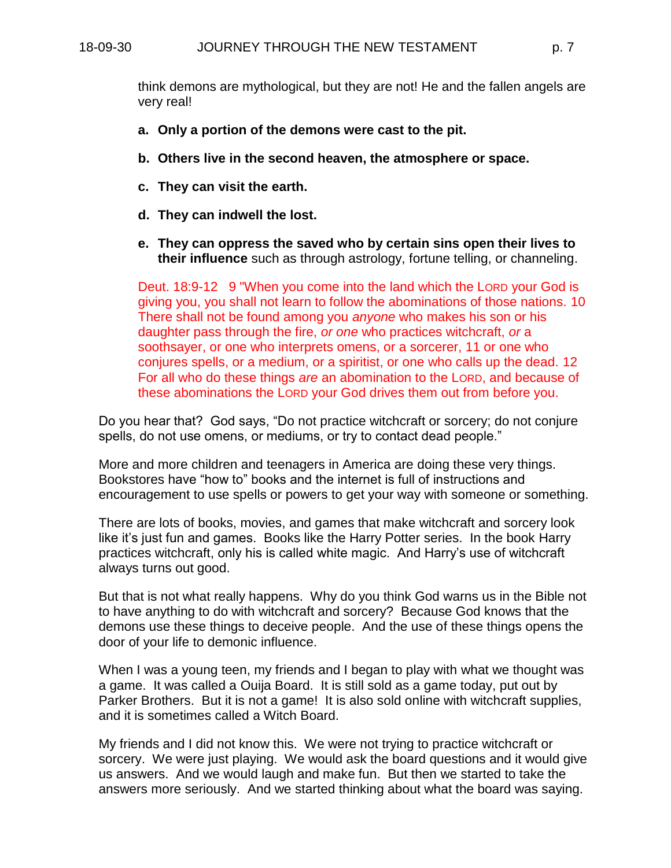think demons are mythological, but they are not! He and the fallen angels are very real!

- **a. Only a portion of the demons were cast to the pit.**
- **b. Others live in the second heaven, the atmosphere or space.**
- **c. They can visit the earth.**
- **d. They can indwell the lost.**
- **e. They can oppress the saved who by certain sins open their lives to their influence** such as through astrology, fortune telling, or channeling.

Deut. 18:9-12 9 "When you come into the land which the LORD your God is giving you, you shall not learn to follow the abominations of those nations. 10 There shall not be found among you *anyone* who makes his son or his daughter pass through the fire, *or one* who practices witchcraft, *or* a soothsayer, or one who interprets omens, or a sorcerer, 11 or one who conjures spells, or a medium, or a spiritist, or one who calls up the dead. 12 For all who do these things *are* an abomination to the LORD, and because of these abominations the LORD your God drives them out from before you.

Do you hear that? God says, "Do not practice witchcraft or sorcery; do not conjure spells, do not use omens, or mediums, or try to contact dead people."

More and more children and teenagers in America are doing these very things. Bookstores have "how to" books and the internet is full of instructions and encouragement to use spells or powers to get your way with someone or something.

There are lots of books, movies, and games that make witchcraft and sorcery look like it's just fun and games. Books like the Harry Potter series. In the book Harry practices witchcraft, only his is called white magic. And Harry's use of witchcraft always turns out good.

But that is not what really happens. Why do you think God warns us in the Bible not to have anything to do with witchcraft and sorcery? Because God knows that the demons use these things to deceive people. And the use of these things opens the door of your life to demonic influence.

When I was a young teen, my friends and I began to play with what we thought was a game. It was called a Ouija Board. It is still sold as a game today, put out by Parker Brothers. But it is not a game! It is also sold online with witchcraft supplies, and it is sometimes called a Witch Board.

My friends and I did not know this. We were not trying to practice witchcraft or sorcery. We were just playing. We would ask the board questions and it would give us answers. And we would laugh and make fun. But then we started to take the answers more seriously. And we started thinking about what the board was saying.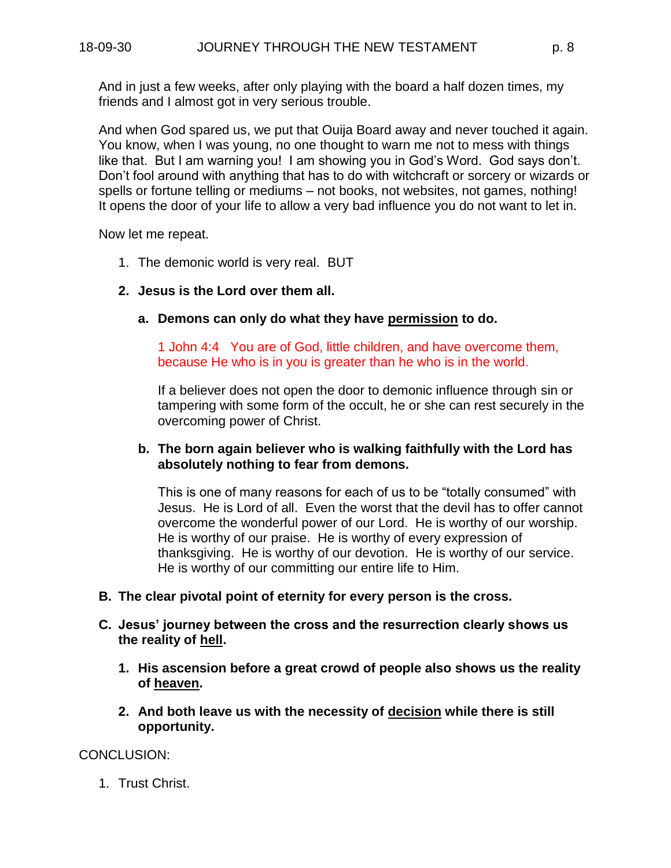And in just a few weeks, after only playing with the board a half dozen times, my friends and I almost got in very serious trouble.

And when God spared us, we put that Ouija Board away and never touched it again. You know, when I was young, no one thought to warn me not to mess with things like that. But I am warning you! I am showing you in God's Word. God says don't. Don't fool around with anything that has to do with witchcraft or sorcery or wizards or spells or fortune telling or mediums – not books, not websites, not games, nothing! It opens the door of your life to allow a very bad influence you do not want to let in.

Now let me repeat.

- 1. The demonic world is very real. BUT
- **2. Jesus is the Lord over them all.**
	- **a. Demons can only do what they have permission to do.**

1 John 4:4 You are of God, little children, and have overcome them, because He who is in you is greater than he who is in the world.

If a believer does not open the door to demonic influence through sin or tampering with some form of the occult, he or she can rest securely in the overcoming power of Christ.

#### **b. The born again believer who is walking faithfully with the Lord has absolutely nothing to fear from demons.**

This is one of many reasons for each of us to be "totally consumed" with Jesus. He is Lord of all. Even the worst that the devil has to offer cannot overcome the wonderful power of our Lord. He is worthy of our worship. He is worthy of our praise. He is worthy of every expression of thanksgiving. He is worthy of our devotion. He is worthy of our service. He is worthy of our committing our entire life to Him.

- **B. The clear pivotal point of eternity for every person is the cross.**
- **C. Jesus' journey between the cross and the resurrection clearly shows us the reality of hell.**
	- **1. His ascension before a great crowd of people also shows us the reality of heaven.**
	- **2. And both leave us with the necessity of decision while there is still opportunity.**

CONCLUSION:

1. Trust Christ.